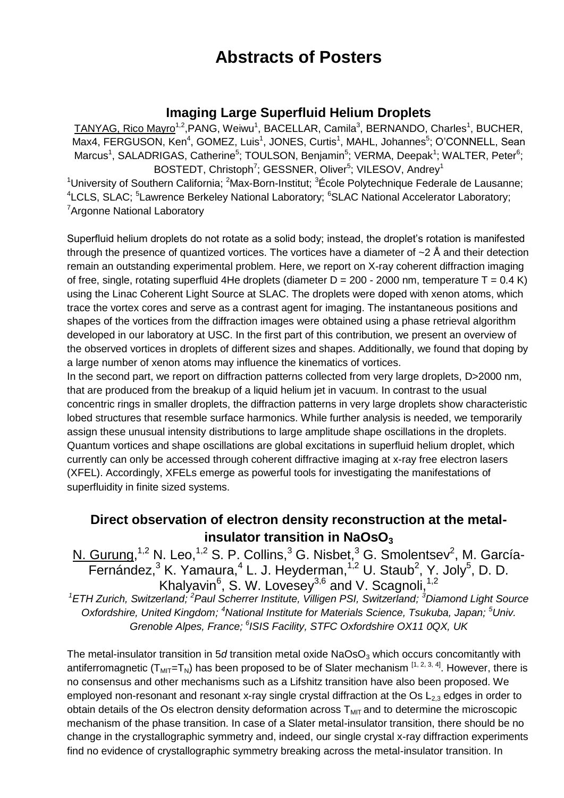# **Abstracts of Posters**

#### **Imaging Large Superfluid Helium Droplets**

TANYAG, Rico Mayro<sup>1,2</sup>, PANG, Weiwu<sup>1</sup>, BACELLAR, Camila<sup>3</sup>, BERNANDO, Charles<sup>1</sup>, BUCHER, Max4, FERGUSON, Ken<sup>4</sup>, GOMEZ, Luis<sup>1</sup>, JONES, Curtis<sup>1</sup>, MAHL, Johannes<sup>5</sup>; O'CONNELL, Sean Marcus<sup>1</sup>, SALADRIGAS, Catherine<sup>5</sup>; TOULSON, Benjamin<sup>5</sup>; VERMA, Deepak<sup>1</sup>; WALTER, Peter<sup>6</sup>; BOSTEDT, Christoph<sup>7</sup>; GESSNER, Oliver<sup>5</sup>; VILESOV, Andrey<sup>1</sup>

<sup>1</sup>University of Southern California; <sup>2</sup>Max-Born-Institut;  ${}^{3}$ École Polytechnique Federale de Lausanne; <sup>4</sup>LCLS, SLAC; <sup>5</sup>Lawrence Berkeley National Laboratory; <sup>6</sup>SLAC National Accelerator Laboratory; <sup>7</sup>Argonne National Laboratory

Superfluid helium droplets do not rotate as a solid body; instead, the droplet's rotation is manifested through the presence of quantized vortices. The vortices have a diameter of  $\sim$  2 Å and their detection remain an outstanding experimental problem. Here, we report on X-ray coherent diffraction imaging of free, single, rotating superfluid 4He droplets (diameter  $D = 200 - 2000$  nm, temperature T = 0.4 K) using the Linac Coherent Light Source at SLAC. The droplets were doped with xenon atoms, which trace the vortex cores and serve as a contrast agent for imaging. The instantaneous positions and shapes of the vortices from the diffraction images were obtained using a phase retrieval algorithm developed in our laboratory at USC. In the first part of this contribution, we present an overview of the observed vortices in droplets of different sizes and shapes. Additionally, we found that doping by a large number of xenon atoms may influence the kinematics of vortices.

In the second part, we report on diffraction patterns collected from very large droplets, D>2000 nm, that are produced from the breakup of a liquid helium jet in vacuum. In contrast to the usual concentric rings in smaller droplets, the diffraction patterns in very large droplets show characteristic lobed structures that resemble surface harmonics. While further analysis is needed, we temporarily assign these unusual intensity distributions to large amplitude shape oscillations in the droplets. Quantum vortices and shape oscillations are global excitations in superfluid helium droplet, which currently can only be accessed through coherent diffractive imaging at x-ray free electron lasers (XFEL). Accordingly, XFELs emerge as powerful tools for investigating the manifestations of superfluidity in finite sized systems.

## **Direct observation of electron density reconstruction at the metalinsulator transition in NaOsO**<sup>3</sup>

N. Gurung,<sup>1,2</sup> N. Leo,<sup>1,2</sup> S. P. Collins,<sup>3</sup> G. Nisbet,<sup>3</sup> G. Smolentsev<sup>2</sup>, M. García-Fernández,<sup>3</sup> K. Yamaura,<sup>4</sup> L. J. Heyderman,<sup>1,2</sup> U. Staub<sup>2</sup>, Y. Joly<sup>5</sup>, D. D. Khalyavin<sup>6</sup>, S. W. Lovesey<sup>3,6</sup> and V. Scagnoli,<sup>1,2</sup>

*<sup>1</sup>ETH Zurich, Switzerland; <sup>2</sup>Paul Scherrer Institute, Villigen PSI, Switzerland; <sup>3</sup>Diamond Light Source Oxfordshire, United Kingdom; <sup>4</sup>National Institute for Materials Science, Tsukuba, Japan; <sup>5</sup>Univ. Grenoble Alpes, France; <sup>6</sup> ISIS Facility, STFC Oxfordshire OX11 0QX, UK*

The metal-insulator transition in 5*d* transition metal oxide NaOsO<sub>3</sub> which occurs concomitantly with antiferromagnetic ( $T_{MIT} = T_N$ ) has been proposed to be of Slater mechanism  $^{[1, 2, 3, 4]}$ . However, there is no consensus and other mechanisms such as a Lifshitz transition have also been proposed. We employed non-resonant and resonant x-ray single crystal diffraction at the Os  $L_{2,3}$  edges in order to obtain details of the Os electron density deformation across  $T<sub>MIT</sub>$  and to determine the microscopic mechanism of the phase transition. In case of a Slater metal-insulator transition, there should be no change in the crystallographic symmetry and, indeed, our single crystal x-ray diffraction experiments find no evidence of crystallographic symmetry breaking across the metal-insulator transition. In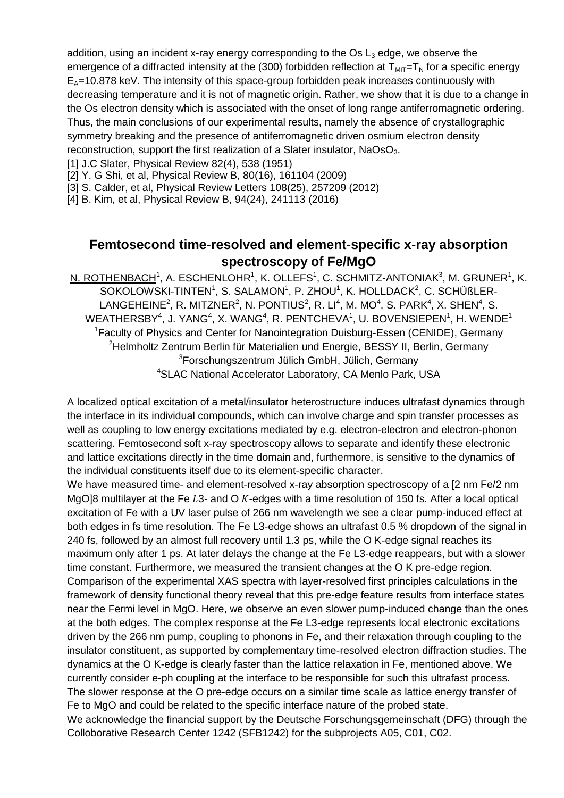addition, using an incident x-ray energy corresponding to the  $Os$  L<sub>3</sub> edge, we observe the emergence of a diffracted intensity at the (300) forbidden reflection at  $T_{MIT}=T_N$  for a specific energy  $E_A$ =10.878 keV. The intensity of this space-group forbidden peak increases continuously with decreasing temperature and it is not of magnetic origin. Rather, we show that it is due to a change in the Os electron density which is associated with the onset of long range antiferromagnetic ordering. Thus, the main conclusions of our experimental results, namely the absence of crystallographic symmetry breaking and the presence of antiferromagnetic driven osmium electron density reconstruction, support the first realization of a Slater insulator,  $NaOsO<sub>3</sub>$ .

[1] J.C Slater, Physical Review 82(4), 538 (1951)

[2] Y. G Shi, et al, Physical Review B, 80(16), 161104 (2009)

[3] S. Calder, et al, Physical Review Letters 108(25), 257209 (2012)

[4] B. Kim, et al, Physical Review B, 94(24), 241113 (2016)

## **Femtosecond time-resolved and element-specific x-ray absorption spectroscopy of Fe/MgO**

 ${\sf N.}$   ${\sf ROTHENBACH}^1,$   ${\sf A.}$   ${\sf ESCHENLOHR}^1,$   ${\sf K.}$   ${\sf OLLEFS}^1,$   ${\sf C.}$   ${\sf SCHMITZ-ANTONIAK}^3,$   ${\sf M.}$   ${\sf GRUNER}^1,$   ${\sf K.}$ SOKOLOWSKI-TINTEN<sup>1</sup>, S. SALAMON<sup>1</sup>, P. ZHOU<sup>1</sup>, K. HOLLDACK<sup>2</sup>, C. SCHÜßLER-LANGEHEINE<sup>2</sup>, R. MITZNER<sup>2</sup>, N. PONTIUS<sup>2</sup>, R. LI<sup>4</sup>, M. MO<sup>4</sup>, S. PARK<sup>4</sup>, X. SHEN<sup>4</sup>, S.  $\mathsf{WEATHERSBY}^4$ , J. YANG $^4$ , X. WANG $^4$ , R. PENTCHEVA $^1$ , U. BOVENSIEPEN $^1$ , H. WENDE $^1$ <sup>1</sup>Faculty of Physics and Center for Nanointegration Duisburg-Essen (CENIDE), Germany <sup>2</sup>Helmholtz Zentrum Berlin für Materialien und Energie, BESSY II, Berlin, Germany <sup>3</sup>Forschungszentrum Jülich GmbH, Jülich, Germany <sup>4</sup>SLAC National Accelerator Laboratory, CA Menlo Park, USA

A localized optical excitation of a metal/insulator heterostructure induces ultrafast dynamics through the interface in its individual compounds, which can involve charge and spin transfer processes as well as coupling to low energy excitations mediated by e.g. electron-electron and electron-phonon scattering. Femtosecond soft x-ray spectroscopy allows to separate and identify these electronic and lattice excitations directly in the time domain and, furthermore, is sensitive to the dynamics of the individual constituents itself due to its element-specific character.

We have measured time- and element-resolved x-ray absorption spectroscopy of a [2 nm Fe/2 nm MgO]8 multilayer at the Fe  $L3$ - and O  $K$ -edges with a time resolution of 150 fs. After a local optical excitation of Fe with a UV laser pulse of 266 nm wavelength we see a clear pump-induced effect at both edges in fs time resolution. The Fe L3-edge shows an ultrafast 0.5 % dropdown of the signal in 240 fs, followed by an almost full recovery until 1.3 ps, while the O K-edge signal reaches its maximum only after 1 ps. At later delays the change at the Fe L3-edge reappears, but with a slower time constant. Furthermore, we measured the transient changes at the O K pre-edge region. Comparison of the experimental XAS spectra with layer-resolved first principles calculations in the framework of density functional theory reveal that this pre-edge feature results from interface states near the Fermi level in MgO. Here, we observe an even slower pump-induced change than the ones at the both edges. The complex response at the Fe L3-edge represents local electronic excitations driven by the 266 nm pump, coupling to phonons in Fe, and their relaxation through coupling to the insulator constituent, as supported by complementary time-resolved electron diffraction studies. The dynamics at the O K-edge is clearly faster than the lattice relaxation in Fe, mentioned above. We currently consider e-ph coupling at the interface to be responsible for such this ultrafast process. The slower response at the O pre-edge occurs on a similar time scale as lattice energy transfer of Fe to MgO and could be related to the specific interface nature of the probed state. We acknowledge the financial support by the Deutsche Forschungsgemeinschaft (DFG) through the Colloborative Research Center 1242 (SFB1242) for the subprojects A05, C01, C02.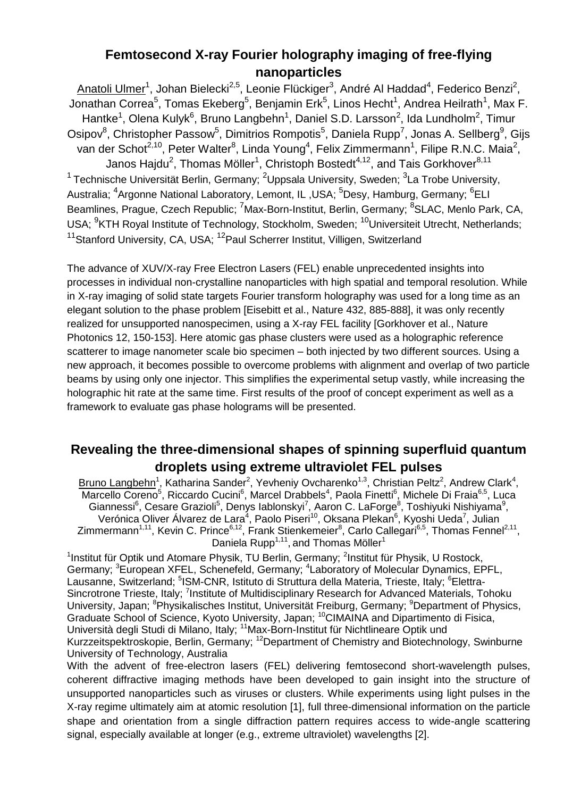#### **Femtosecond X-ray Fourier holography imaging of free-flying nanoparticles**

Anatoli Ulmer<sup>1</sup>, Johan Bielecki<sup>2,5</sup>, Leonie Flückiger<sup>3</sup>, André Al Haddad<sup>4</sup>, Federico Benzi<sup>2</sup>, Jonathan Correa<sup>5</sup>, Tomas Ekeberg<sup>5</sup>, Benjamin Erk<sup>5</sup>, Linos Hecht<sup>1</sup>, Andrea Heilrath<sup>1</sup>, Max F. Hantke<sup>1</sup>, Olena Kulyk<sup>6</sup>, Bruno Langbehn<sup>1</sup>, Daniel S.D. Larsson<sup>2</sup>, Ida Lundholm<sup>2</sup>, Timur Osipov<sup>8</sup>, Christopher Passow<sup>5</sup>, Dimitrios Rompotis<sup>5</sup>, Daniela Rupp<sup>7</sup>, Jonas A. Sellberg<sup>9</sup>, Gijs van der Schot<sup>2,10</sup>, Peter Walter<sup>8</sup>, Linda Young<sup>4</sup>, Felix Zimmermann<sup>1</sup>, Filipe R.N.C. Maia<sup>2</sup>, Janos Hajdu<sup>2</sup>, Thomas Möller<sup>1</sup>, Christoph Bostedt<sup>4,12</sup>, and Tais Gorkhover<sup>8,11</sup> <sup>1</sup> Technische Universität Berlin, Germany; <sup>2</sup>Uppsala University, Sweden; <sup>3</sup>La Trobe University, Australia; <sup>4</sup>Argonne National Laboratory, Lemont, IL, USA; <sup>5</sup>Desy, Hamburg, Germany; <sup>6</sup>ELI Beamlines, Prague, Czech Republic; <sup>7</sup>Max-Born-Institut, Berlin, Germany; <sup>8</sup>SLAC, Menlo Park, CA, USA; <sup>9</sup>KTH Royal Institute of Technology, Stockholm, Sweden; <sup>10</sup>Universiteit Utrecht, Netherlands; <sup>11</sup>Stanford University, CA, USA; <sup>12</sup>Paul Scherrer Institut, Villigen, Switzerland

The advance of XUV/X-ray Free Electron Lasers (FEL) enable unprecedented insights into processes in individual non-crystalline nanoparticles with high spatial and temporal resolution. While in X-ray imaging of solid state targets Fourier transform holography was used for a long time as an elegant solution to the phase problem [Eisebitt et al., Nature 432, 885-888], it was only recently realized for unsupported nanospecimen, using a X-ray FEL facility [Gorkhover et al., Nature Photonics 12, 150-1531. Here atomic gas phase clusters were used as a holographic reference scatterer to image nanometer scale bio specimen – both injected by two different sources. Using a new approach, it becomes possible to overcome problems with alignment and overlap of two particle beams by using only one injector. This simplifies the experimental setup vastly, while increasing the holographic hit rate at the same time. First results of the proof of concept experiment as well as a framework to evaluate gas phase holograms will be presented.

#### **Revealing the three-dimensional shapes of spinning superfluid quantum droplets using extreme ultraviolet FEL pulses**

Bruno Langbehn<sup>1</sup>, Katharina Sander<sup>2</sup>, Yevheniy Ovcharenko<sup>1,3</sup>, Christian Peltz<sup>2</sup>, Andrew Clark<sup>4</sup>, Marcello Coreno<sup>5</sup>, Riccardo Cucini<sup>6</sup>, Marcel Drabbels<sup>4</sup>, Paola Finetti<sup>6</sup>, Michele Di Fraia<sup>6,5</sup>, Luca Giannessi<sup>6</sup>, Cesare Grazioli<sup>5</sup>, Denys lablonskyi<sup>7</sup>, Aaron C. LaForge<sup>8</sup>, Toshiyuki Nishiyama<sup>9</sup>, Verónica Oliver Álvarez de Lara<sup>4</sup>, Paolo Piseri<sup>10</sup>, Oksana Plekan<sup>6</sup>, Kyoshi Ueda<sup>7</sup>, Julian Zimmermann<sup>1,11</sup>, Kevin C. Prince<sup>6,12</sup>, Frank Stienkemeier<sup>8</sup>, Carlo Callegari<sup>6,5</sup>, Thomas Fennel<sup>2,11</sup>, Daniela Rupp<sup>1,11</sup>, and Thomas Möller<sup>1</sup>

<sup>1</sup>Institut für Optik und Atomare Physik, TU Berlin, Germany; <sup>2</sup>Institut für Physik, U Rostock, Germany; <sup>3</sup>European XFEL, Schenefeld, Germany; <sup>4</sup>Laboratory of Molecular Dynamics, EPFL, Lausanne, Switzerland; <sup>5</sup>ISM-CNR, Istituto di Struttura della Materia, Trieste, Italy; <sup>6</sup>Elettra-Sincrotrone Trieste, Italy; <sup>7</sup>Institute of Multidisciplinary Research for Advanced Materials, Tohoku University, Japan; <sup>8</sup>Physikalisches Institut, Universität Freiburg, Germany; <sup>9</sup>Department of Physics, Graduate School of Science, Kyoto University, Japan; <sup>10</sup>CIMAINA and Dipartimento di Fisica, Università degli Studi di Milano, Italy; <sup>11</sup>Max-Born-Institut für Nichtlineare Optik und Kurzzeitspektroskopie, Berlin, Germany: <sup>12</sup>Department of Chemistry and Biotechnology, Swinburne University of Technology, Australia

With the advent of free-electron lasers (FEL) delivering femtosecond short-wavelength pulses, coherent diffractive imaging methods have been developed to gain insight into the structure of unsupported nanoparticles such as viruses or clusters. While experiments using light pulses in the X-ray regime ultimately aim at atomic resolution [1], full three-dimensional information on the particle shape and orientation from a single diffraction pattern requires access to wide-angle scattering signal, especially available at longer (e.g., extreme ultraviolet) wavelengths [2].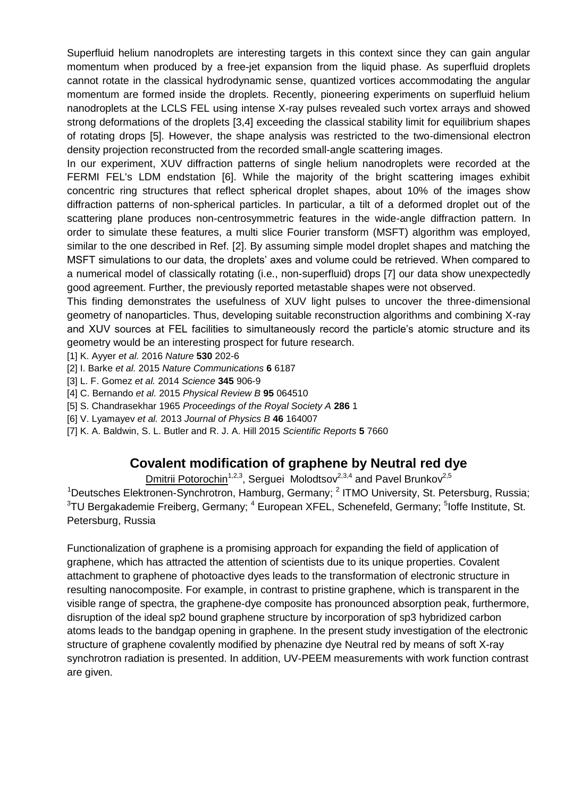Superfluid helium nanodroplets are interesting targets in this context since they can gain angular momentum when produced by a free-jet expansion from the liquid phase. As superfluid droplets cannot rotate in the classical hydrodynamic sense, quantized vortices accommodating the angular momentum are formed inside the droplets. Recently, pioneering experiments on superfluid helium nanodroplets at the LCLS FEL using intense X-ray pulses revealed such vortex arrays and showed strong deformations of the droplets [3,4] exceeding the classical stability limit for equilibrium shapes of rotating drops [5]. However, the shape analysis was restricted to the two-dimensional electron density projection reconstructed from the recorded small-angle scattering images.

In our experiment, XUV diffraction patterns of single helium nanodroplets were recorded at the FERMI FEL's LDM endstation [6]. While the majority of the bright scattering images exhibit concentric ring structures that reflect spherical droplet shapes, about 10% of the images show diffraction patterns of non-spherical particles. In particular, a tilt of a deformed droplet out of the scattering plane produces non-centrosymmetric features in the wide-angle diffraction pattern. In order to simulate these features, a multi slice Fourier transform (MSFT) algorithm was employed, similar to the one described in Ref. [2]. By assuming simple model droplet shapes and matching the MSFT simulations to our data, the droplets' axes and volume could be retrieved. When compared to a numerical model of classically rotating (i.e., non-superfluid) drops [7] our data show unexpectedly good agreement. Further, the previously reported metastable shapes were not observed.

This finding demonstrates the usefulness of XUV light pulses to uncover the three-dimensional geometry of nanoparticles. Thus, developing suitable reconstruction algorithms and combining X-ray and XUV sources at FEL facilities to simultaneously record the particle's atomic structure and its geometry would be an interesting prospect for future research.

- [1] K. Ayyer *et al.* 2016 *Nature* **530** 202-6
- [2] I. Barke *et al.* 2015 *Nature Communications* **6** 6187
- [3] L. F. Gomez *et al.* 2014 *Science* **345** 906-9
- [4] C. Bernando *et al.* 2015 *Physical Review B* **95** 064510
- [5] S. Chandrasekhar 1965 *Proceedings of the Royal Society A* **286** 1
- [6] V. Lyamayev *et al.* 2013 *Journal of Physics B* **46** 164007
- [7] K. A. Baldwin, S. L. Butler and R. J. A. Hill 2015 *Scientific Reports* **5** 7660

#### **Covalent modification of graphene by Neutral red dye**

Dmitrii Potorochin<sup>1,2,3</sup>, Serguei Molodtsov<sup>2,3,4</sup> and Pavel Brunkov<sup>2,5</sup>

<sup>1</sup>Deutsches Elektronen-Synchrotron, Hamburg, Germany; <sup>2</sup> ITMO University, St. Petersburg, Russia;  $3$ TU Bergakademie Freiberg, Germany;  $^4$  European XFEL, Schenefeld, Germany;  $^5$ loffe Institute, St. Petersburg, Russia

Functionalization of graphene is a promising approach for expanding the field of application of graphene, which has attracted the attention of scientists due to its unique properties. Covalent attachment to graphene of photoactive dyes leads to the transformation of electronic structure in resulting nanocomposite. For example, in contrast to pristine graphene, which is transparent in the visible range of spectra, the graphene-dye composite has pronounced absorption peak, furthermore, disruption of the ideal sp2 bound graphene structure by incorporation of sp3 hybridized carbon atoms leads to the bandgap opening in graphene. In the present study investigation of the electronic structure of graphene covalently modified by phenazine dye Neutral red by means of soft X-ray synchrotron radiation is presented. In addition, UV-PEEM measurements with work function contrast are given.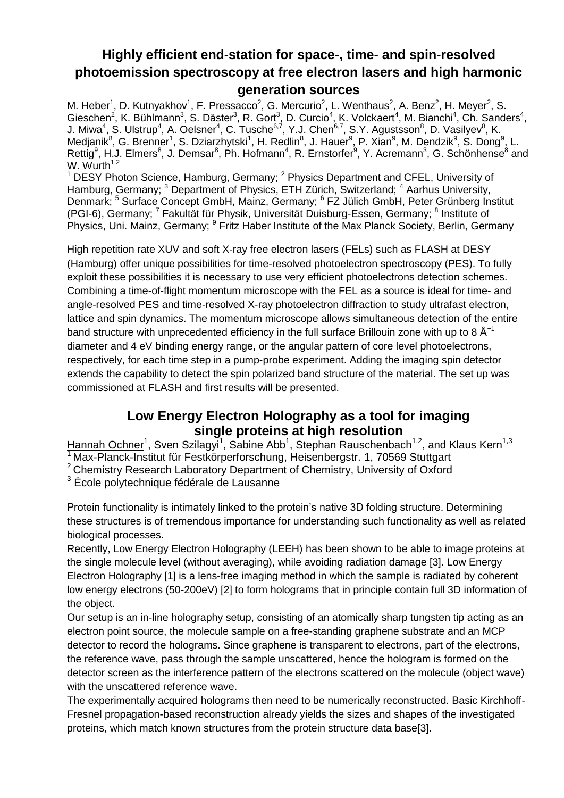## **Highly efficient end-station for space-, time- and spin-resolved photoemission spectroscopy at free electron lasers and high harmonic generation sources**

M. Heber<sup>1</sup>, D. Kutnyakhov<sup>1</sup>, F. Pressacco<sup>2</sup>, G. Mercurio<sup>2</sup>, L. Wenthaus<sup>2</sup>, A. Benz<sup>2</sup>, H. Meyer<sup>2</sup>, S.  $\overline{\text{Gieschen}}^2$ , K. Bühlmann<sup>3</sup>, S. Däster<sup>3</sup>, R. Gort<sup>3</sup>, D. Curcio<sup>4</sup>, K. Volckaert<sup>4</sup>, M. Bianchi<sup>4</sup>, Ch. Sanders<sup>4</sup>, J. Miwa<sup>4</sup>, S. Ulstrup<sup>4</sup>, A. Oelsner<sup>4</sup>, C. Tusche<sup>6,7</sup>, Y.J. Chen<sup>6,7</sup>, S.Y. Agustsson<sup>8</sup>, D. Vasilyev<sup>8</sup>, K. Medjanik<sup>8</sup>, G. Brenner<sup>1</sup>, S. Dziarzhytski<sup>1</sup>, H. Redlin<sup>8</sup>, J. Hauer<sup>9</sup>, P. Xian<sup>9</sup>, M. Dendzik<sup>9</sup>, S. Dong<sup>9</sup>, L. Rettig<sup>9</sup>, H.J. Elmers<sup>8</sup>, J. Demsar<sup>8</sup>, Ph. Hofmann<sup>4</sup>, R. Ernstorfer<sup>9</sup>, Y. Acremann<sup>3</sup>, G. Schönhense<sup>8</sup> and W. Wurth $1,2$ 

 $1$  DESY Photon Science, Hamburg, Germany;  $2$  Physics Department and CFEL, University of Hamburg, Germany; <sup>3</sup> Department of Physics, ETH Zürich, Switzerland; <sup>4</sup> Aarhus University, Denmark; <sup>5</sup> Surface Concept GmbH, Mainz, Germany; <sup>6</sup> FZ Jülich GmbH, Peter Grünberg Institut (PGI-6), Germany; <sup>7</sup> Fakultät für Physik, Universität Duisburg-Essen, Germany; <sup>8</sup> Institute of Physics, Uni. Mainz, Germany; <sup>9</sup> Fritz Haber Institute of the Max Planck Society, Berlin, Germany

High repetition rate XUV and soft X-ray free electron lasers (FELs) such as FLASH at DESY (Hamburg) offer unique possibilities for time-resolved photoelectron spectroscopy (PES). To fully exploit these possibilities it is necessary to use very efficient photoelectrons detection schemes. Combining a time-of-flight momentum microscope with the FEL as a source is ideal for time- and angle-resolved PES and time-resolved X-ray photoelectron diffraction to study ultrafast electron, lattice and spin dynamics. The momentum microscope allows simultaneous detection of the entire band structure with unprecedented efficiency in the full surface Brillouin zone with up to 8  $\text{\AA}^{-1}$ diameter and 4 eV binding energy range, or the angular pattern of core level photoelectrons, respectively, for each time step in a pump-probe experiment. Adding the imaging spin detector extends the capability to detect the spin polarized band structure of the material. The set up was commissioned at FLASH and first results will be presented.

#### **Low Energy Electron Holography as a tool for imaging single proteins at high resolution**

Hannah Ochner<sup>1</sup>, Sven Szilagyi<sup>1</sup>, Sabine Abb<sup>1</sup>, Stephan Rauschenbach<sup>1,2</sup>, and Klaus Kern<sup>1,3</sup>

<sup>1</sup> Max-Planck-Institut für Festkörperforschung, Heisenbergstr. 1, 70569 Stuttgart

2 Chemistry Research Laboratory Department of Chemistry, University of Oxford

<sup>3</sup> École polytechnique fédérale de Lausanne

Protein functionality is intimately linked to the protein's native 3D folding structure. Determining these structures is of tremendous importance for understanding such functionality as well as related biological processes.

Recently, Low Energy Electron Holography (LEEH) has been shown to be able to image proteins at the single molecule level (without averaging), while avoiding radiation damage [3]. Low Energy Electron Holography [1] is a lens-free imaging method in which the sample is radiated by coherent low energy electrons (50-200eV) [2] to form holograms that in principle contain full 3D information of the object.

Our setup is an in-line holography setup, consisting of an atomically sharp tungsten tip acting as an electron point source, the molecule sample on a free-standing graphene substrate and an MCP detector to record the holograms. Since graphene is transparent to electrons, part of the electrons, the reference wave, pass through the sample unscattered, hence the hologram is formed on the detector screen as the interference pattern of the electrons scattered on the molecule (object wave) with the unscattered reference wave.

The experimentally acquired holograms then need to be numerically reconstructed. Basic Kirchhoff-Fresnel propagation-based reconstruction already yields the sizes and shapes of the investigated proteins, which match known structures from the protein structure data base[3].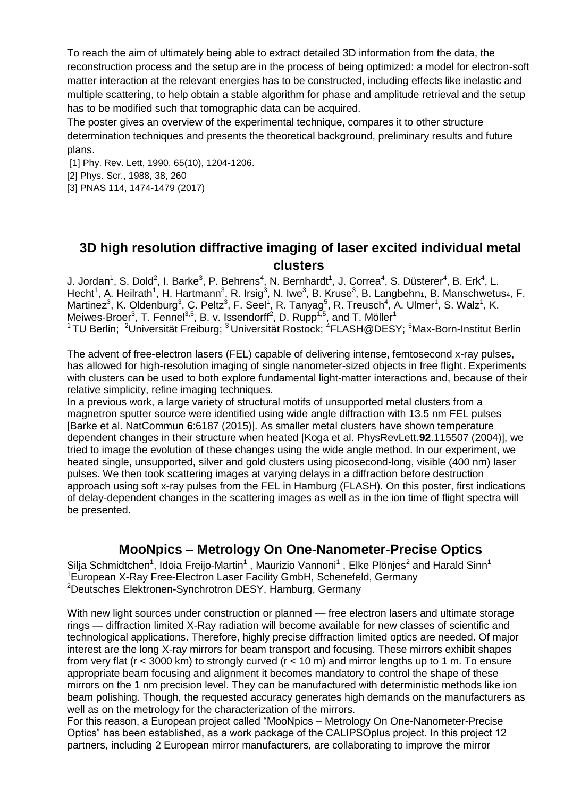To reach the aim of ultimately being able to extract detailed 3D information from the data, the reconstruction process and the setup are in the process of being optimized: a model for electron-soft matter interaction at the relevant energies has to be constructed, including effects like inelastic and multiple scattering, to help obtain a stable algorithm for phase and amplitude retrieval and the setup has to be modified such that tomographic data can be acquired.

The poster gives an overview of the experimental technique, compares it to other structure determination techniques and presents the theoretical background, preliminary results and future plans.

[1] Phy. Rev. Lett, 1990, 65(10), 1204-1206. [2] Phys. Scr., 1988, 38, 260 [3] PNAS 114, 1474-1479 (2017)

#### **3D high resolution diffractive imaging of laser excited individual metal clusters**

J. Jordan<sup>1</sup>, S. Dold<sup>2</sup>, I. Barke<sup>3</sup>, P. Behrens<sup>4</sup>, N. Bernhardt<sup>1</sup>, J. Correa<sup>4</sup>, S. Düsterer<sup>4</sup>, B. Erk<sup>4</sup>, L. Hecht<sup>1</sup>, A. Heilrath<sup>1</sup>, H. Hartmann<sup>3</sup>, R. Irsig<sup>3</sup>, N. Iwe<sup>3</sup>, B. Kruse<sup>3</sup>, B. Langbehn<sub>1</sub>, B. Manschwetus<sub>4</sub>, F. Martinez<sup>3</sup>, K. Oldenburg<sup>3</sup>, C. Peltz<sup>3</sup>, F. Seel<sup>1</sup>, R. Tanyag<sup>5</sup>, R. Treusch<sup>4</sup>, A. Ulmer<sup>1</sup>, S. Walz<sup>1</sup>, K. Meiwes-Broer<sup>3</sup>, T. Fennel<sup>3,5</sup>, B. v. Issendorff<sup>2</sup>, D. Rupp<sup>1,5</sup>, and T. Möller<sup>1</sup> <sup>1</sup>TU Berlin; <sup>2</sup>Universität Freiburg; <sup>3</sup>Universität Rostock; <sup>4</sup>FLASH@DESY; <sup>5</sup>Max-Born-Institut Berlin

The advent of free-electron lasers (FEL) capable of delivering intense, femtosecond x-ray pulses, has allowed for high-resolution imaging of single nanometer-sized objects in free flight. Experiments with clusters can be used to both explore fundamental light-matter interactions and, because of their relative simplicity, refine imaging techniques.

In a previous work, a large variety of structural motifs of unsupported metal clusters from a magnetron sputter source were identified using wide angle diffraction with 13.5 nm FEL pulses [Barke et al. NatCommun **6**:6187 (2015)]. As smaller metal clusters have shown temperature dependent changes in their structure when heated [Koga et al. PhysRevLett.**92**.115507 (2004)], we tried to image the evolution of these changes using the wide angle method. In our experiment, we heated single, unsupported, silver and gold clusters using picosecond-long, visible (400 nm) laser pulses. We then took scattering images at varying delays in a diffraction before destruction approach using soft x-ray pulses from the FEL in Hamburg (FLASH). On this poster, first indications of delay-dependent changes in the scattering images as well as in the ion time of flight spectra will be presented.

#### **MooNpics – Metrology On One-Nanometer-Precise Optics**

Silja Schmidtchen<sup>1</sup>, Idoia Freijo-Martin<sup>1</sup>, Maurizio Vannoni<sup>1</sup>, Elke Plönjes<sup>2</sup> and Harald Sinn<sup>1</sup> <sup>1</sup>European X-Ray Free-Electron Laser Facility GmbH, Schenefeld, Germany <sup>2</sup>Deutsches Elektronen-Synchrotron DESY, Hamburg, Germany

With new light sources under construction or planned — free electron lasers and ultimate storage rings — diffraction limited X-Ray radiation will become available for new classes of scientific and technological applications. Therefore, highly precise diffraction limited optics are needed. Of major interest are the long X-ray mirrors for beam transport and focusing. These mirrors exhibit shapes from very flat (r < 3000 km) to strongly curved (r < 10 m) and mirror lengths up to 1 m. To ensure appropriate beam focusing and alignment it becomes mandatory to control the shape of these mirrors on the 1 nm precision level. They can be manufactured with deterministic methods like ion beam polishing. Though, the requested accuracy generates high demands on the manufacturers as well as on the metrology for the characterization of the mirrors.

For this reason, a European project called "MooNpics – Metrology On One-Nanometer-Precise Optics" has been established, as a work package of the CALIPSOplus project. In this project 12 partners, including 2 European mirror manufacturers, are collaborating to improve the mirror